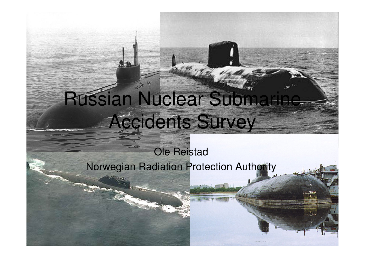# Russian Nuclear Subma Accidents Survey

### Ole ReistadNorwegian Radiation Protection Authority

1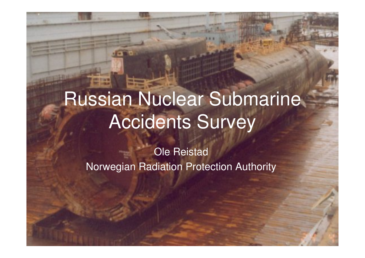## Russian Nuclear Submarine Accidents Survey

Ole ReistadNorwegian Radiation Protection Authority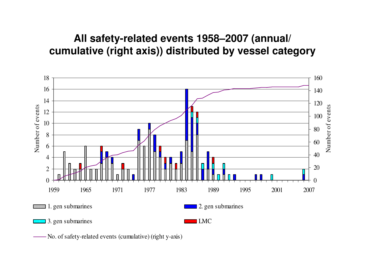#### **All safety-related events 1958–2007 (annual/ cumulative (right axis)) distributed by vessel category**



No. of safety-related events (cumulative) (right y-axis)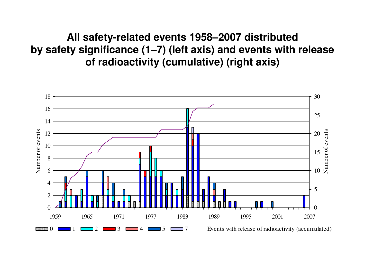**All safety-related events 1958–2007 distributed by safety significance (1–7) (left axis) and events with release of radioactivity (cumulative) (right axis)**

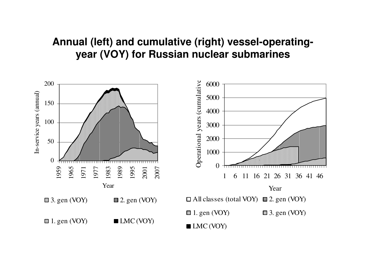#### **Annual (left) and cumulative (right) vessel-operatingyear (VOY) for Russian nuclear submarines**

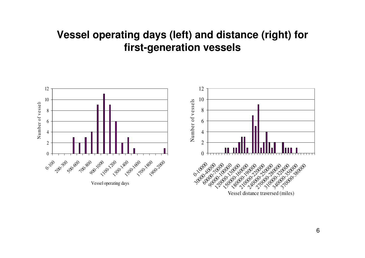#### **Vessel operating days (left) and distance (right) for first-generation vessels**



Vessel distance traversed (miles)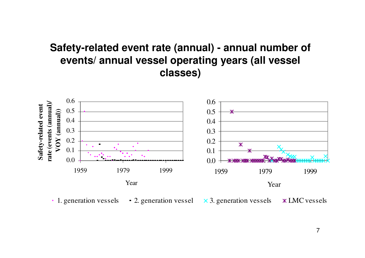#### **Safety-related event rate (annual) - annual number of events/ annual vessel operating years (all vessel classes)**



1. generation vessels 2. generation vessel  $\times$  3. generation vessels LMC vessels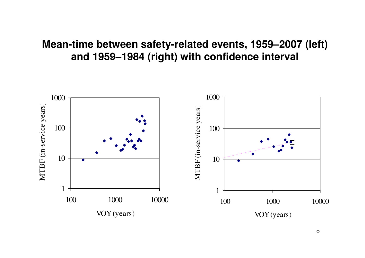#### **Mean-time between safety-related events, 1959–2007 (left) and 1959–1984 (right) with confidence interval**